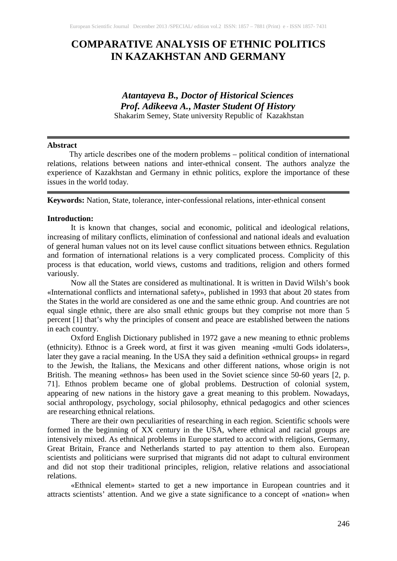# **COMPARATIVE ANALYSIS OF ETHNIC POLITICS IN KAZAKHSTAN AND GERMANY**

# *Atantayeva B., Doctor of Historical Sciences Prof. Adikeeva A.***,** *Master Student Of History* Shakarim Semey, State university Republic of Kazakhstan

## **Abstract**

Thу article describes one of the modern problems – political condition of international relations, relations between nations and inter-ethnical consent. The authors analyze the experience of Kazakhstan and Germany in ethnic politics, explore the importance of these issues in the world today*.*

**Keywords:** Nation, State, tolerance, inter-confessional relations, inter-ethnical consent

#### **Introduction:**

It is known that changes, social and economic, political and ideological relations, increasing of military conflicts, elimination of confessional and national ideals and evaluation of general human values not on its level cause conflict situations between ethnics. Regulation and formation of international relations is a very complicated process. Complicity of this process is that education, world views, customs and traditions, religion and others formed variously.

Now all the States are considered as multinational. It is written in David Wilsh's book «International conflicts and international safety», published in 1993 that about 20 states from the States in the world are considered as one and the same ethnic group. And countries are not equal single ethnic, there are also small ethnic groups but they comprise not more than 5 percent [1] that's why the principles of consent and peace are established between the nations in each country.

Oxford English Dictionary published in 1972 gave a new meaning to ethnic problems (ethnicity). Ethnoc is a Greek word, at first it was given meaning «multi Gods idolaters», later they gave a racial meaning. In the USA they said a definition «ethnical groups» in regard to the Jewish, the Italians, the Mexicans and other different nations, whose origin is not British. The meaning «ethnos» has been used in the Soviet science since 50-60 years [2, p. 71]. Ethnos problem became one of global problems. Destruction of colonial system, appearing of new nations in the history gave a great meaning to this problem. Nowadays, social anthropology, psychology, social philosophy, ethnical pedagogics and other sciences are researching ethnical relations.

There are their own peculiarities of researching in each region. Scientific schools were formed in the beginning of XX century in the USA, where ethnical and racial groups are intensively mixed. As ethnical problems in Europe started to accord with religions, Germany, Great Britain, France and Netherlands started to pay attention to them also. European scientists and politicians were surprised that migrants did not adapt to cultural environment and did not stop their traditional principles, religion, relative relations and associational relations.

«Ethnical element» started to get a new importance in European countries and it attracts scientists' attention. And we give a state significance to a concept of «nation» when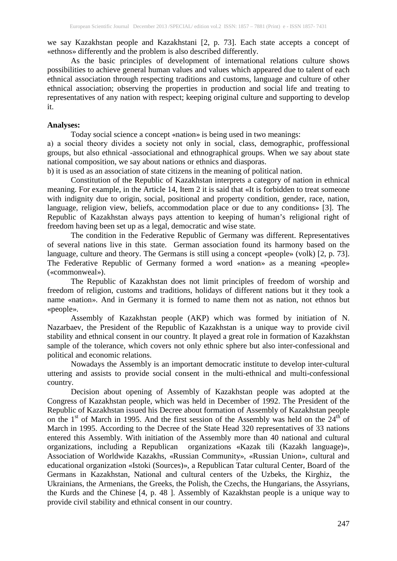we say Kazakhstan people and Kazakhstani [2, p. 73]. Each state accepts a concept of «ethnos» differently and the problem is also described differently.

As the basic principles of development of international relations culture shows possibilities to achieve general human values and values which appeared due to talent of each ethnical association through respecting traditions and customs, language and culture of other ethnical association; observing the properties in production and social life and treating to representatives of any nation with respect; keeping original culture and supporting to develop it.

## **Analyses:**

Today social science a concept «nation» is being used in two meanings:

а) a social theory divides a society not only in social, class, demographic, proffessional groups, but also ethnical -associational and ethnographical groups. When we say about state national composition, we say about nations or ethnics and diasporas.

b) it is used as an association of state citizens in the meaning of political nation.

Constitution of the Republic of Kazakhstan interprets a category of nation in ethnical meaning. For example, in the Article 14, Item 2 it is said that «It is forbidden to treat someone with indignity due to origin, social, positional and property condition, gender, race, nation, language, religion view, beliefs, accommodation place or due to any conditions» [3]. The Republic of Kazakhstan always pays attention to keeping of human's religional right of freedom having been set up as a legal, democratic and wise state.

The condition in the Federative Republic of Germany was different. Representatives of several nations live in this state. German association found its harmony based on the language, culture and theory. The Germans is still using a concept «people» (volk) [2, p. 73]. The Federative Republic of Germany formed a word «nation» as a meaning «people» («commonweal»).

The Republic of Kazakhstan does not limit principles of freedom of worship and freedom of religion, customs and traditions, holidays of different nations but it they took a name «nation». And in Germany it is formed to name them not as nation, not ethnos but «people».

Assembly of Kazakhstan people (AKP) which was formed by initiation of N. Nazarbaev, the President of the Republic of Kazakhstan is a unique way to provide civil stability and ethnical consent in our country. It played a great role in formation of Kazakhstan sample of the tolerance, which covers not only ethnic sphere but also inter-confessional and political and economic relations.

Nowadays the Assembly is an important democratic institute to develop inter-cultural uttering and assists to provide social consent in the multi-ethnical and multi-confessional country.

Decision about opening of Assembly of Kazakhstan people was adopted at the Congress of Kazakhstan people, which was held in December of 1992. The President of the Republic of Kazakhstan issued his Decree about formation of Assembly of Kazakhstan people on the 1<sup>st</sup> of March in 1995. And the first session of the Assembly was held on the  $24<sup>th</sup>$  of March in 1995. According to the Decree of the State Head 320 representatives of 33 nations entered this Assembly. With initiation of the Assembly more than 40 national and cultural organizations, including a Republican organizations «Kazak tili (Kazakh language)», Association of Worldwide Kazakhs, «Russian Community», «Russian Union», cultural and educational organization «Istoki (Sources)», a Republican Tatar cultural Center, Board of the Germans in Kazakhstan, National and cultural centers of the Uzbeks, the Kirghiz, the Ukrainians, the Armenians, the Greeks, the Polish, the Czechs, the Hungarians, the Assyrians, the Kurds and the Chinese [4, p. 48 ]. Assembly of Kazakhstan people is a unique way to provide civil stability and ethnical consent in our country.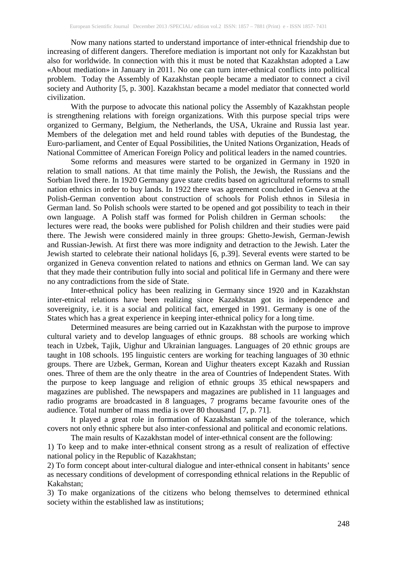Now many nations started to understand importance of inter-ethnical friendship due to increasing of different dangers. Therefore mediation is important not only for Kazakhstan but also for worldwide. In connection with this it must be noted that Kazakhstan adopted a Law «About mediation» in January in 2011. No one can turn inter-ethnical conflicts into political problem. Today the Assembly of Kazakhstan people became a mediator to connect a civil society and Authority [5, p. 300]. Kazakhstan became a model mediator that connected world civilization.

With the purpose to advocate this national policy the Assembly of Kazakhstan people is strengthening relations with foreign organizations. With this purpose special trips were organized to Germany, Belgium, the Netherlands, the USA, Ukraine and Russia last year. Members of the delegation met and held round tables with deputies of the Bundestag, the Euro-parliament, and Center of Equal Possibilities, the United Nations Organization, Heads of National Committee of American Foreign Policy and political leaders in the named countries.

Some reforms and measures were started to be organized in Germany in 1920 in relation to small nations. At that time mainly the Polish, the Jewish, the Russians and the Sorbian lived there. In 1920 Germany gave state credits based on agricultural reforms to small nation ethnics in order to buy lands. In 1922 there was agreement concluded in Geneva at the Polish-German convention about construction of schools for Polish ethnos in Silesia in German land. So Polish schools were started to be opened and got possibility to teach in their own language. A Polish staff was formed for Polish children in German schools: the lectures were read, the books were published for Polish children and their studies were paid there. The Jewish were considered mainly in three groups: Ghetto-Jewish, German-Jewish and Russian-Jewish. At first there was more indignity and detraction to the Jewish. Later the Jewish started to celebrate their national holidays [6, p.39]. Several events were started to be organized in Geneva convention related to nations and ethnics on German land. We can say that they made their contribution fully into social and political life in Germany and there were no any contradictions from the side of State.

Inter-ethnical policy has been realizing in Germany since 1920 and in Kazakhstan inter-etnical relations have been realizing since Kazakhstan got its independence and sovereignity, i.e. it is a social and political fact, emerged in 1991. Germany is one of the States which has a great experience in keeping inter-ethnical policy for a long time.

Determined measures are being carried out in Kazakhstan with the purpose to improve cultural variety and to develop languages of ethnic groups. 88 schools are working which teach in Uzbek, Tajik, Uighur and Ukrainian languages. Languages of 20 ethnic groups are taught in 108 schools. 195 linguistic centers are working for teaching languages of 30 ethnic groups. There are Uzbek, German, Korean and Uighur theaters except Kazakh and Russian ones. Three of them are the only theatre in the area of Countries of Independent States. With the purpose to keep language and religion of ethnic groups 35 ethical newspapers and magazines are published. The newspapers and magazines are published in 11 languages and radio programs are broadcasted in 8 languages, 7 programs became favourite ones of the audience. Total number of mass media is over 80 thousand [7, p. 71].

It played a great role in formation of Kazakhstan sample of the tolerance, which covers not only ethnic sphere but also inter-confessional and political and economic relations.

The main results of Kazakhstan model of inter-ethnical consent are the following:

1) To keep and to make inter-ethnical consent strong as a result of realization of effective national policy in the Republic of Kazakhstan;

2) To form concept about inter-cultural dialogue and inter-ethnical consent in habitants' sence as necessary conditions of development of corresponding ethnical relations in the Republic of Kakahstan;

3) To make organizations of the citizens who belong themselves to determined ethnical society within the established law as institutions;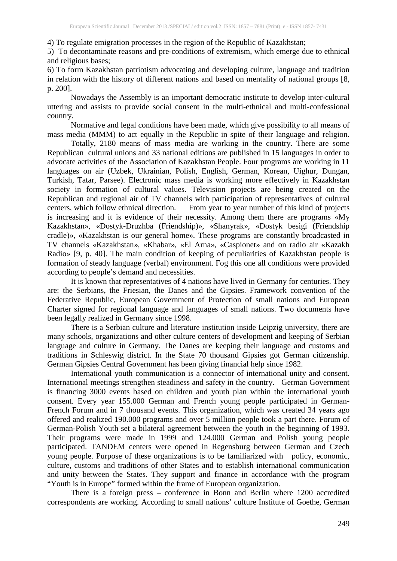4) To regulate emigration processes in the region of the Republic of Kazakhstan;

5) To decontaminate reasons and pre-conditions of extremism, which emerge due to ethnical and religious bases;

6) To form Kazakhstan patriotism advocating and developing culture, language and tradition in relation with the history of different nations and based on mentality of national groups [8, p. 200].

Nowadays the Assembly is an important democratic institute to develop inter-cultural uttering and assists to provide social consent in the multi-ethnical and multi-confessional country.

Normative and legal conditions have been made, which give possibility to all means of mass media (MMM) to act equally in the Republic in spite of their language and religion.

Totally, 2180 means of mass media are working in the country. There are some Republican cultural unions and 33 national editions are published in 15 languages in order to advocate activities of the Association of Kazakhstan People. Four programs are working in 11 languages on air (Uzbek, Ukrainian, Polish, English, German, Korean, Uighur, Dungan, Turkish, Tatar, Parsee). Electronic mass media is working more effectively in Kazakhstan society in formation of cultural values. Television projects are being created on the Republican and regional air of TV channels with participation of representatives of cultural centers, which follow ethnical direction. From year to year number of this kind of projects is increasing and it is evidence of their necessity. Among them there are programs «My Kazakhstan», «Dostyk-Druzhba (Friendship)», «Shanyrak», «Dostyk besigi (Friendship cradle)», «Kazakhstan is our general home». These programs are constantly broadcasted in TV channels «Kazakhstan», «Khabar», «El Arna», «Caspionet» and on radio air «Kazakh Radio» [9, p. 40]. The main condition of keeping of peculiarities of Kazakhstan people is formation of steady language (verbal) environment. Fog this one all conditions were provided according to people's demand and necessities.

It is known that representatives of 4 nations have lived in Germany for centuries. They are: the Serbians, the Friesian, the Danes and the Gipsies. Framework convention of the Federative Republic, European Government of Protection of small nations and European Charter signed for regional language and languages of small nations. Two documents have been legally realized in Germany since 1998.

There is a Serbian culture and literature institution inside Leipzig university, there are many schools, organizations and other culture centers of development and keeping of Serbian language and culture in Germany. The Danes are keeping their language and customs and traditions in Schleswig district. In the State 70 thousand Gipsies got German citizenship. German Gipsies Central Government has been giving financial help since 1982.

International youth communication is a connector of international unity and consent. International meetings strengthen steadiness and safety in the country. German Government is financing 3000 events based on children and youth plan within the international youth consent. Every year 155.000 German and French young people participated in German-French Forum and in 7 thousand events. This organization, which was created 34 years ago offered and realized 190.000 programs and over 5 million people took a part there. Forum of German-Polish Youth set a bilateral agreement between the youth in the beginning of 1993. Their programs were made in 1999 and 124.000 German and Polish young people participated. TANDEM centers were opened in Regensburg between German and Czech young people. Purpose of these organizations is to be familiarized with policy, economic, culture, customs and traditions of other States and to establish international communication and unity between the States. They support and finance in accordance with the program "Youth is in Europe" formed within the frame of European organization.

There is a foreign press – conference in Bonn and Berlin where 1200 accredited correspondents are working. According to small nations' culture Institute of Goethe, German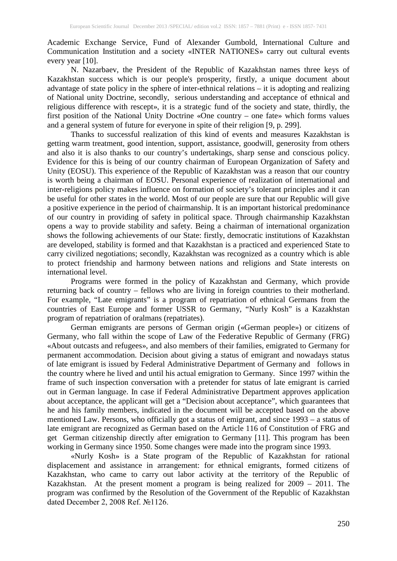Academic Exchange Service, Fund of Alexander Gumbold, International Culture and Communication Institution and a society «INTER NATIONES» carry out cultural events every year [10].

N. Nazarbaev, the President of the Republic of Kazakhstan names three keys of Kazakhstan success which is our people's prosperity, firstly, a unique document about advantage of state policy in the sphere of inter-ethnical relations – it is adopting and realizing of National unity Doctrine, secondly, serious understanding and acceptance of ethnical and religious difference with rescept», it is a strategic fund of the society and state, thirdly, the first position of the National Unity Doctrine «One country – one fate» which forms values and a general system of future for everyone in spite of their religion [9, p. 299].

Thanks to successful realization of this kind of events and measures Kazakhstan is getting warm treatment, good intention, support, assistance, goodwill, generosity from others and also it is also thanks to our country's undertakings, sharp sense and conscious policy. Evidence for this is being of our country chairman of European Organization of Safety and Unity (EOSU). This experience of the Republic of Kazakhstan was a reason that our country is worth being a chairman of EOSU. Personal experience of realization of international and inter-religions policy makes influence on formation of society's tolerant principles and it can be useful for other states in the world. Most of our people are sure that our Republic will give a positive experience in the period of chairmanship. It is an important historical predominance of our country in providing of safety in political space. Through chairmanship Kazakhstan opens a way to provide stability and safety. Being a chairman of international organization shows the following achievements of our State: firstly, democratic institutions of Kazakhstan are developed, stability is formed and that Kazakhstan is a practiced and experienced State to carry civilized negotiations; secondly, Kazakhstan was recognized as a country which is able to protect friendship and harmony between nations and religions and State interests on international level.

Programs were formed in the policy of Kazakhstan and Germany, which provide returning back of country – fellows who are living in foreign countries to their motherland. For example, "Late emigrants" is a program of repatriation of ethnical Germans from the countries of East Europe and former USSR to Germany, "Nurly Kosh" is a Kazakhstan program of repatriation of oralmans (repatriates).

German emigrants are persons of German origin («German people») or citizens of Germany, who fall within the scope of Law of the Federative Republic of Germany (FRG) «About outcasts and refugees», and also members of their families, emigrated to Germany for permanent accommodation. Decision about giving a status of emigrant and nowadays status of late emigrant is issued by Federal Administrative Department of Germany and follows in the country where he lived and until his actual emigration to Germany. Since 1997 within the frame of such inspection conversation with a pretender for status of late emigrant is carried out in German language. In case if Federal Administrative Department approves application about acceptance, the applicant will get a "Decision about acceptance", which guarantees that he and his family members, indicated in the document will be accepted based on the above mentioned Law. Persons, who officially got a status of emigrant, and since 1993 – a status of late emigrant are recognized as German based on the Article 116 of Constitution of FRG and get German citizenship directly after emigration to Germany [11]. This program has been working in Germany since 1950. Some changes were made into the program since 1993.

«Nurly Kosh» is a State program of the Republic of Kazakhstan for rational displacement and assistance in arrangement: for ethnical emigrants, formed citizens of Kazakhstan, who came to carry out labor activity at the territory of the Republic of Kazakhstan. At the present moment a program is being realized for 2009 – 2011. The program was confirmed by the Resolution of the Government of the Republic of Kazakhstan dated December 2, 2008 Ref. №1126.